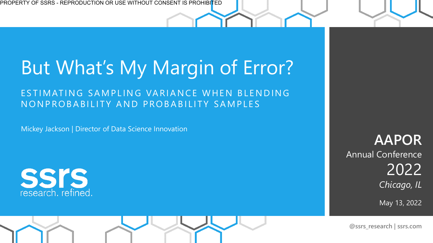# But What's My Margin of Error?

ESTIMATING SAMPLING VARIANCE WHEN BLENDING NONPROBABILITY AND PROBABILITY SAMPLES

Mickey Jackson | Director of Data Science Innovation



**AAPOR**  Annual Conference 2022 *Chicago, IL*

May 13, 2022

**@ssrs\_research | ssrs.com**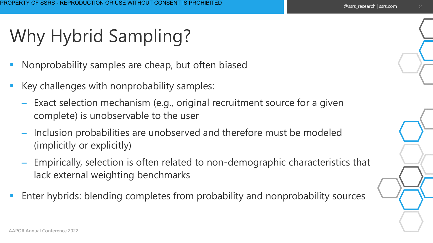# Why Hybrid Sampling?

- Nonprobability samples are cheap, but often biased
- Key challenges with nonprobability samples:
	- Exact selection mechanism (e.g., original recruitment source for a given complete) is unobservable to the user
	- Inclusion probabilities are unobserved and therefore must be modeled (implicitly or explicitly)
	- Empirically, selection is often related to non-demographic characteristics that lack external weighting benchmarks
- Enter hybrids: blending completes from probability and nonprobability sources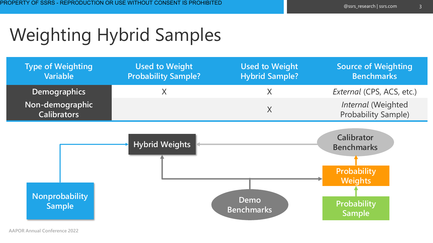## Weighting Hybrid Samples

| <b>Type of Weighting</b><br><b>Variable</b> | <b>Used to Weight</b><br><b>Probability Sample?</b> | <b>Used to Weight</b><br><b>Hybrid Sample?</b> | <b>Source of Weighting</b><br><b>Benchmarks</b>                         |
|---------------------------------------------|-----------------------------------------------------|------------------------------------------------|-------------------------------------------------------------------------|
| <b>Demographics</b>                         | Χ                                                   | X                                              | External (CPS, ACS, etc.)                                               |
| Non-demographic<br><b>Calibrators</b>       |                                                     | $\sf X$                                        | Internal (Weighted<br><b>Probability Sample)</b>                        |
|                                             | <b>Hybrid Weights</b>                               |                                                | <b>Calibrator</b><br><b>Benchmarks</b><br>Probability<br><b>Weights</b> |
| <b>Nonprobability</b><br><b>Sample</b>      |                                                     | Demo<br><b>Benchmarks</b>                      | Probability<br>Sample                                                   |

**AAPOR Annual Conference 2022**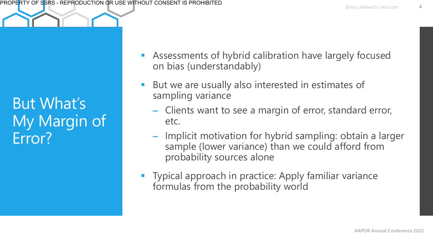But What's My Margin of Error?

- Assessments of hybrid calibration have largely focused on bias (understandably)
- But we are usually also interested in estimates of sampling variance
	- Clients want to see a margin of error, standard error, etc.
	- Implicit motivation for hybrid sampling: obtain a larger sample (lower variance) than we could afford from probability sources alone
- Typical approach in practice: Apply familiar variance formulas from the probability world

4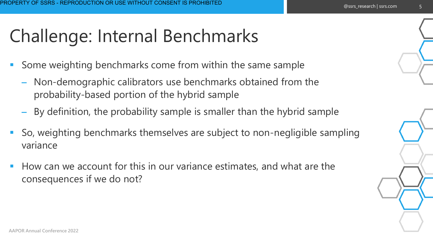## Challenge: Internal Benchmarks

- Some weighting benchmarks come from within the same sample
	- Non-demographic calibrators use benchmarks obtained from the probability-based portion of the hybrid sample
	- By definition, the probability sample is smaller than the hybrid sample
- So, weighting benchmarks themselves are subject to non-negligible sampling variance
- How can we account for this in our variance estimates, and what are the consequences if we do not?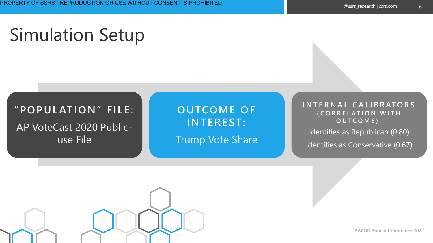## Simulation Setup

#### **"POPUL ATION" FILE:**  AP VoteCast 2020 Publicuse File

**OUTCOME OF INTEREST:** 

Trump Vote Share

**I N T E R N A L C A L I B R ATO R S ( C O R R E L A T I O N W I T H O U T C O M E ) :**

Identifies as Republican (0.80)

Identifies as Conservative (0.67)



**AAPOR Annual Conference 2022**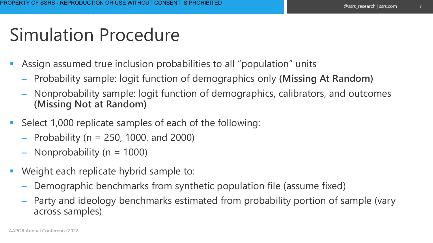## Simulation Procedure

- Assign assumed true inclusion probabilities to all "population" units
	- Probability sample: logit function of demographics only **(Missing At Random)**
	- Nonprobability sample: logit function of demographics, calibrators, and outcomes **(Missing Not at Random)**
- Select 1,000 replicate samples of each of the following:
	- $-$  Probability (n = 250, 1000, and 2000)
	- $-$  Nonprobability (n = 1000)
- Weight each replicate hybrid sample to:
	- Demographic benchmarks from synthetic population file (assume fixed)
	- Party and ideology benchmarks estimated from probability portion of sample (vary across samples)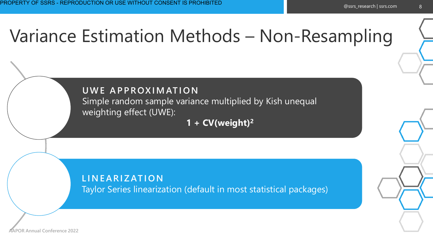## Variance Estimation Methods – Non-Resampling

#### **U W E A P P ROX I M AT I O N**

Simple random sample variance multiplied by Kish unequal weighting effect (UWE):

**1 + CV(weight)<sup>2</sup>**

#### **L I N E A R I Z AT I O N** Taylor Series linearization (default in most statistical packages)

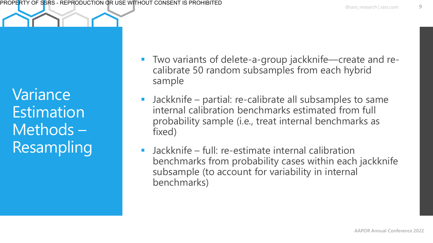Variance **Estimation** Methods – Resampling

- Two variants of delete-a-group jackknife—create and recalibrate 50 random subsamples from each hybrid sample
- Jackknife partial: re-calibrate all subsamples to same internal calibration benchmarks estimated from full probability sample (i.e., treat internal benchmarks as fixed)
- $\blacksquare$  Jackknife full: re-estimate internal calibration benchmarks from probability cases within each jackknife subsample (to account for variability in internal benchmarks)

9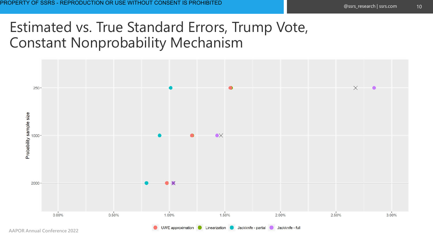### Estimated vs. True Standard Errors, Trump Vote, Constant Nonprobability Mechanism

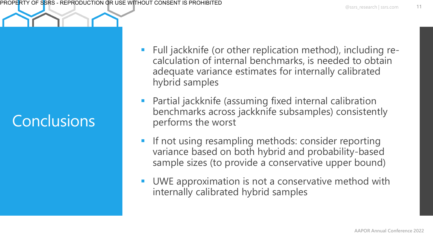## Conclusions

- Full jackknife (or other replication method), including recalculation of internal benchmarks, is needed to obtain adequate variance estimates for internally calibrated hybrid samples
- Partial jackknife (assuming fixed internal calibration benchmarks across jackknife subsamples) consistently performs the worst
- If not using resampling methods: consider reporting variance based on both hybrid and probability-based sample sizes (to provide a conservative upper bound)
- UWE approximation is not a conservative method with internally calibrated hybrid samples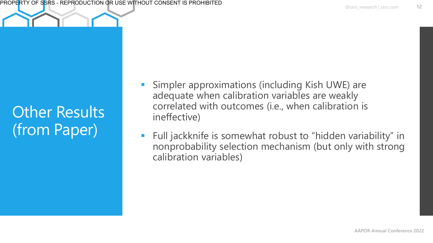### Other Results (from Paper)

- Simpler approximations (including Kish UWE) are adequate when calibration variables are weakly correlated with outcomes (i.e., when calibration is ineffective)
- Full jackknife is somewhat robust to "hidden variability" in nonprobability selection mechanism (but only with strong calibration variables)